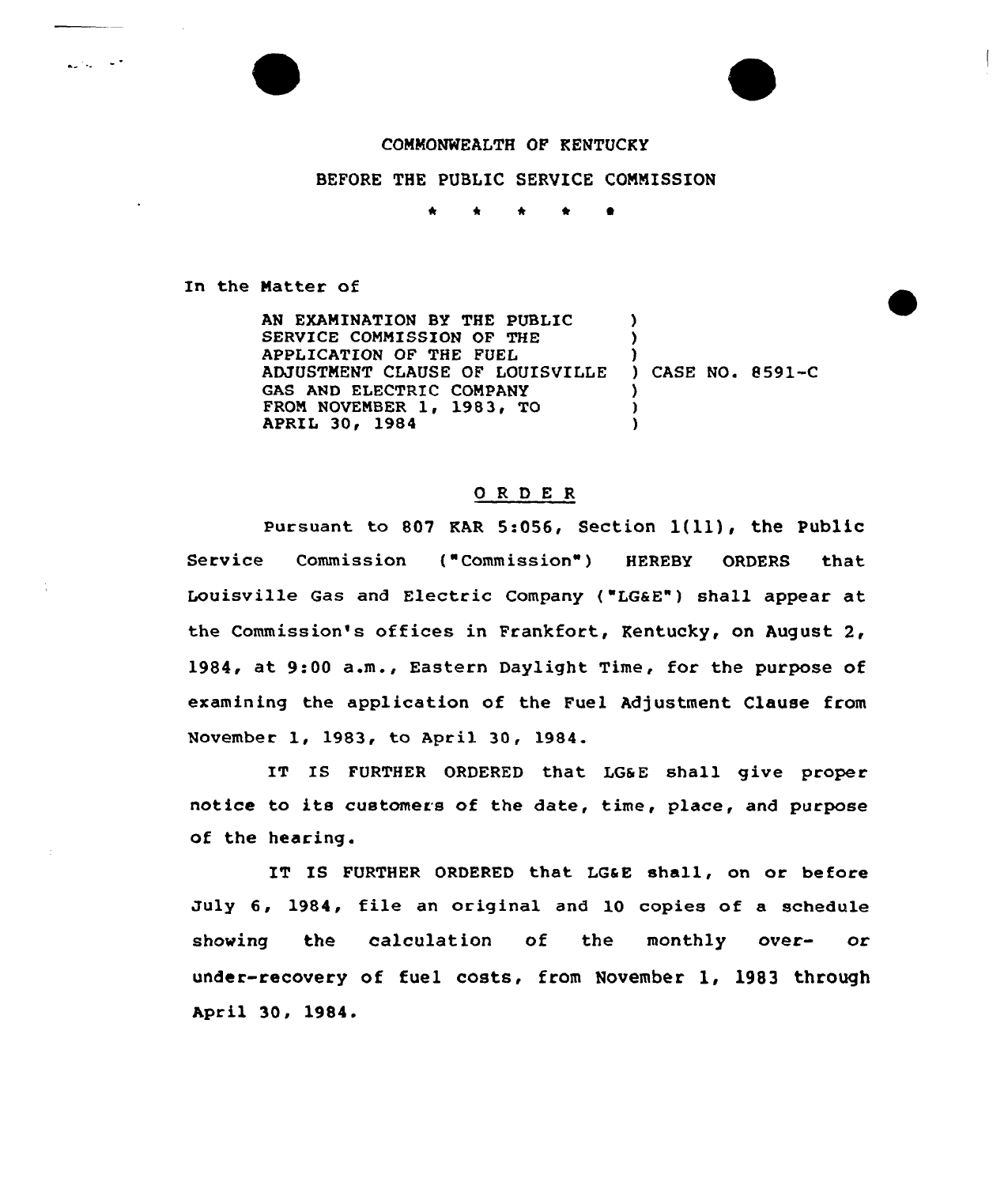## COMMONWEALTH OF KENTUCKY

## BEFORE THE PUBLIC SERVICE COMMISSION

\* \* \* \* I

In the Natter of

**Automobile** 

AN EXAMINATION BY THE PUBLIC SERVICE COMMISSION OF THE APPLICATION OF THE FUEL ADJUSTMENT CLAUSE OF LOUISVILLE GAS AND ELECTRIC COMPANY FROM NOVEMBER 1, 1983, TO APRIL 30, 1984  $\lambda$ ) )<br>) CASE NO. 8591<mark>-C</mark> ) ) )

## ORDER

Pursuant to 807 KAR 5:056, Section 1(11), the Public Service Commission ("Commission" ) HEREBY ORDERS that Louisville Gas and Electric Company {"LGaE") shall appear at the Commission's offices in Frankfort, Kentucky, on August 2, 1984, at 9:00 a.m., Eastern Daylight Time, for the purpose of examining the application of the Fuel Adjustment Clause from November 1, 1983, to April 30, 1984.

IT IS FURTHER ORDERED that LGSE shall give proper notice to its customers of the date, time, place, and purpose of the hearing.

IT IS FURTHER ORDERED that LG&E shall, on or before July 6, 1984, file an original and 10 copies of a schedule showing the calculation of the monthly over- or under-recovery of fuel costs, from November 1, 1983 through Apr il 30, 1984.